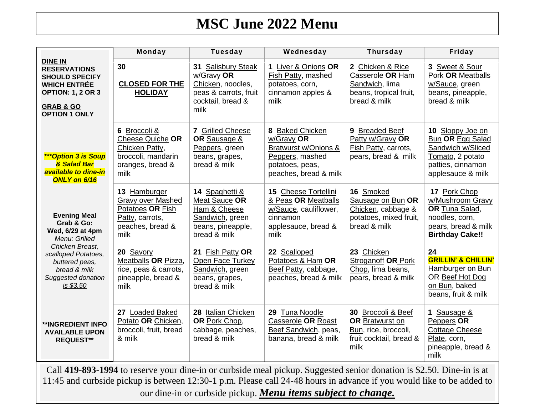## **MSC June 2022 Menu**

|                                                                                                                                                                                                                                                                                                                 | Monday                                                                                                      | <b>Tuesday</b>                                                                                              | Wednesday                                                                                                            | <b>Thursday</b>                                                                                  | Friday                                                                                                                  |
|-----------------------------------------------------------------------------------------------------------------------------------------------------------------------------------------------------------------------------------------------------------------------------------------------------------------|-------------------------------------------------------------------------------------------------------------|-------------------------------------------------------------------------------------------------------------|----------------------------------------------------------------------------------------------------------------------|--------------------------------------------------------------------------------------------------|-------------------------------------------------------------------------------------------------------------------------|
| <b>DINE IN</b><br><b>RESERVATIONS</b><br><b>SHOULD SPECIFY</b><br><b>WHICH ENTRÉE</b><br><b>OPTION: 1, 2 OR 3</b><br><b>GRAB &amp; GO</b><br><b>OPTION 1 ONLY</b>                                                                                                                                               | 30<br><b>CLOSED FOR THE</b><br><b>HOLIDAY</b>                                                               | 31 Salisbury Steak<br>w/Gravy OR<br>Chicken, noodles,<br>peas & carrots, fruit<br>cocktail, bread &<br>milk | 1 Liver & Onions OR<br>Fish Patty, mashed<br>potatoes, corn,<br>cinnamon apples &<br>milk                            | 2 Chicken & Rice<br>Casserole OR Ham<br>Sandwich, lima<br>beans, tropical fruit,<br>bread & milk | 3 Sweet & Sour<br><b>Pork OR Meatballs</b><br>w/Sauce, green<br>beans, pineapple,<br>bread & milk                       |
| <b>***Option 3 is Soup</b><br>& Salad Bar<br>available to dine-in<br><b>ONLY on 6/16</b>                                                                                                                                                                                                                        | 6 Broccoli &<br>Cheese Quiche OR<br>Chicken Patty,<br>broccoli, mandarin<br>oranges, bread &<br>milk        | 7 Grilled Cheese<br>OR Sausage &<br>Peppers, green<br>beans, grapes,<br>bread & milk                        | 8 Baked Chicken<br>w/Gravy OR<br>Bratwurst w/Onions &<br>Peppers, mashed<br>potatoes, peas,<br>peaches, bread & milk | 9 Breaded Beef<br>Patty w/Gravy OR<br>Fish Patty, carrots,<br>pears, bread & milk                | 10 Sloppy Joe on<br>Bun OR Egg Salad<br>Sandwich w/Sliced<br>Tomato, 2 potato<br>patties, cinnamon<br>applesauce & milk |
| <b>Evening Meal</b><br>Grab & Go:<br>Wed, 6/29 at 4pm<br>Menu: Grilled                                                                                                                                                                                                                                          | 13 Hamburger<br><b>Gravy over Mashed</b><br>Potatoes OR Fish<br>Patty, carrots,<br>peaches, bread &<br>milk | 14 Spaghetti &<br>Meat Sauce OR<br>Ham & Cheese<br>Sandwich, green<br>beans, pineapple,<br>bread & milk     | 15 Cheese Tortellini<br>& Peas OR Meatballs<br>w/Sauce, cauliflower,<br>cinnamon<br>applesauce, bread &<br>milk      | 16 Smoked<br>Sausage on Bun OR<br>Chicken, cabbage &<br>potatoes, mixed fruit,<br>bread & milk   | 17 Pork Chop<br>w/Mushroom Gravy<br>OR Tuna Salad,<br>noodles, corn,<br>pears, bread & milk<br><b>Birthday Cake!!</b>   |
| Chicken Breast,<br>scalloped Potatoes,<br>buttered peas,<br>bread & milk<br>Suggested donation<br>is \$3.50                                                                                                                                                                                                     | 20 Savory<br>Meatballs OR Pizza,<br>rice, peas & carrots,<br>pineapple, bread &<br>milk                     | 21 Fish Patty OR<br>Open Face Turkey<br>Sandwich, green<br>beans, grapes,<br>bread & milk                   | 22 Scalloped<br>Potatoes & Ham OR<br>Beef Patty, cabbage,<br>peaches, bread & milk                                   | 23 Chicken<br><b>Stroganoff OR Pork</b><br>Chop, lima beans,<br>pears, bread & milk              | 24<br><b>GRILLIN' &amp; CHILLIN'</b><br>Hamburger on Bun<br>OR Beef Hot Dog<br>on Bun, baked<br>beans, fruit & milk     |
| <b>**INGREDIENT INFO</b><br><b>AVAILABLE UPON</b><br><b>REQUEST**</b>                                                                                                                                                                                                                                           | 27 Loaded Baked<br>Potato OR Chicken,<br>broccoli, fruit, bread<br>& milk                                   | 28 Italian Chicken<br>OR Pork Chop,<br>cabbage, peaches,<br>bread & milk                                    | 29 Tuna Noodle<br>Casserole OR Roast<br>Beef Sandwich, peas,<br>banana, bread & milk                                 | 30 Broccoli & Beef<br>OR Bratwurst on<br>Bun, rice, broccoli,<br>fruit cocktail, bread &<br>milk | 1 Sausage &<br>Peppers OR<br><b>Cottage Cheese</b><br>Plate, corn,<br>pineapple, bread &<br>milk                        |
| Call 419-893-1994 to reserve your dine-in or curbside meal pickup. Suggested senior donation is \$2.50. Dine-in is at<br>11:45 and curbside pickup is between 12:30-1 p.m. Please call 24-48 hours in advance if you would like to be added to<br>our dine-in or curbside pickup. Menu items subject to change. |                                                                                                             |                                                                                                             |                                                                                                                      |                                                                                                  |                                                                                                                         |